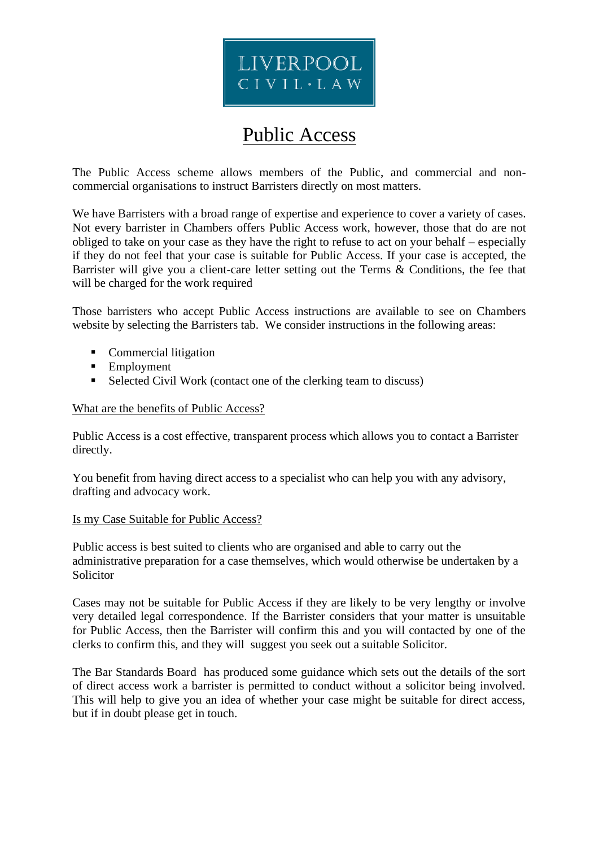

# Public Access

The Public Access scheme allows members of the Public, and commercial and noncommercial organisations to instruct Barristers directly on most matters.

We have Barristers with a broad range of expertise and experience to cover a variety of cases. Not every barrister in Chambers offers Public Access work, however, those that do are not obliged to take on your case as they have the right to refuse to act on your behalf – especially if they do not feel that your case is suitable for Public Access. If your case is accepted, the Barrister will give you a client-care letter setting out the Terms & Conditions, the fee that will be charged for the work required

Those barristers who accept Public Access instructions are available to see on Chambers website by selecting the Barristers tab. We consider instructions in the following areas:

- Commercial litigation
- Employment
- Selected Civil Work (contact one of the clerking team to discuss)

What are the benefits of Public Access?

Public Access is a cost effective, transparent process which allows you to contact a Barrister directly.

You benefit from having direct access to a specialist who can help you with any advisory, drafting and advocacy work.

### Is my Case Suitable for Public Access?

Public access is best suited to clients who are organised and able to carry out the administrative preparation for a case themselves, which would otherwise be undertaken by a Solicitor

Cases may not be suitable for Public Access if they are likely to be very lengthy or involve very detailed legal correspondence. If the Barrister considers that your matter is unsuitable for Public Access, then the Barrister will confirm this and you will contacted by one of the clerks to confirm this, and they will suggest you seek out a suitable Solicitor.

The Bar Standards Board has produced some guidance which sets out the details of the sort of direct access work a barrister is permitted to conduct without a solicitor being involved. This will help to give you an idea of whether your case might be suitable for direct access, but if in doubt please get in touch.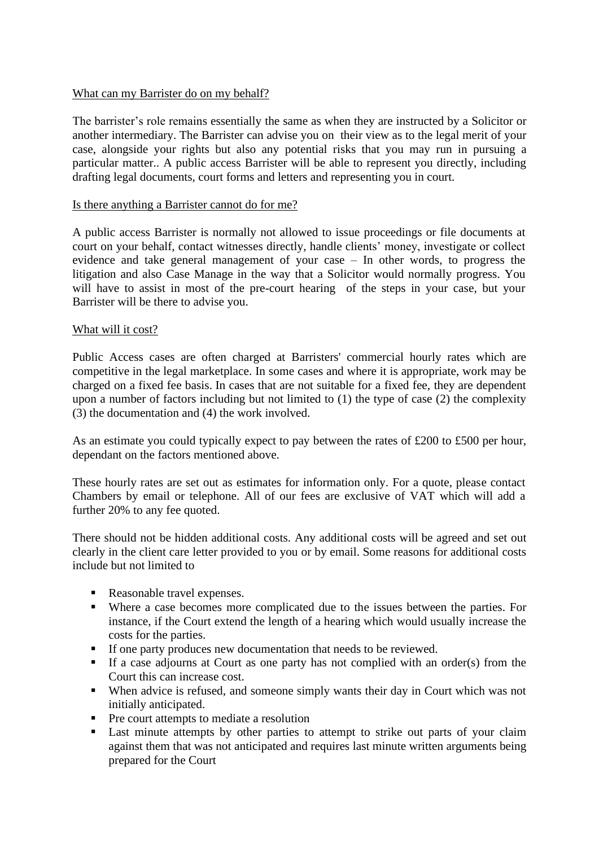## What can my Barrister do on my behalf?

The barrister's role remains essentially the same as when they are instructed by a Solicitor or another intermediary. The Barrister can advise you on their view as to the legal merit of your case, alongside your rights but also any potential risks that you may run in pursuing a particular matter.. A public access Barrister will be able to represent you directly, including drafting legal documents, court forms and letters and representing you in court.

## Is there anything a Barrister cannot do for me?

A public access Barrister is normally not allowed to issue proceedings or file documents at court on your behalf, contact witnesses directly, handle clients' money, investigate or collect evidence and take general management of your case – In other words, to progress the litigation and also Case Manage in the way that a Solicitor would normally progress. You will have to assist in most of the pre-court hearing of the steps in your case, but your Barrister will be there to advise you.

# What will it cost?

Public Access cases are often charged at Barristers' commercial hourly rates which are competitive in the legal marketplace. In some cases and where it is appropriate, work may be charged on a fixed fee basis. In cases that are not suitable for a fixed fee, they are dependent upon a number of factors including but not limited to (1) the type of case (2) the complexity (3) the documentation and (4) the work involved.

As an estimate you could typically expect to pay between the rates of £200 to £500 per hour, dependant on the factors mentioned above.

These hourly rates are set out as estimates for information only. For a quote, please contact Chambers by email or telephone. All of our fees are exclusive of VAT which will add a further 20% to any fee quoted.

There should not be hidden additional costs. Any additional costs will be agreed and set out clearly in the client care letter provided to you or by email. Some reasons for additional costs include but not limited to

- Reasonable travel expenses.
- Where a case becomes more complicated due to the issues between the parties. For instance, if the Court extend the length of a hearing which would usually increase the costs for the parties.
- If one party produces new documentation that needs to be reviewed.
- If a case adjourns at Court as one party has not complied with an order(s) from the Court this can increase cost.
- When advice is refused, and someone simply wants their day in Court which was not initially anticipated.
- Pre court attempts to mediate a resolution
- Last minute attempts by other parties to attempt to strike out parts of your claim against them that was not anticipated and requires last minute written arguments being prepared for the Court